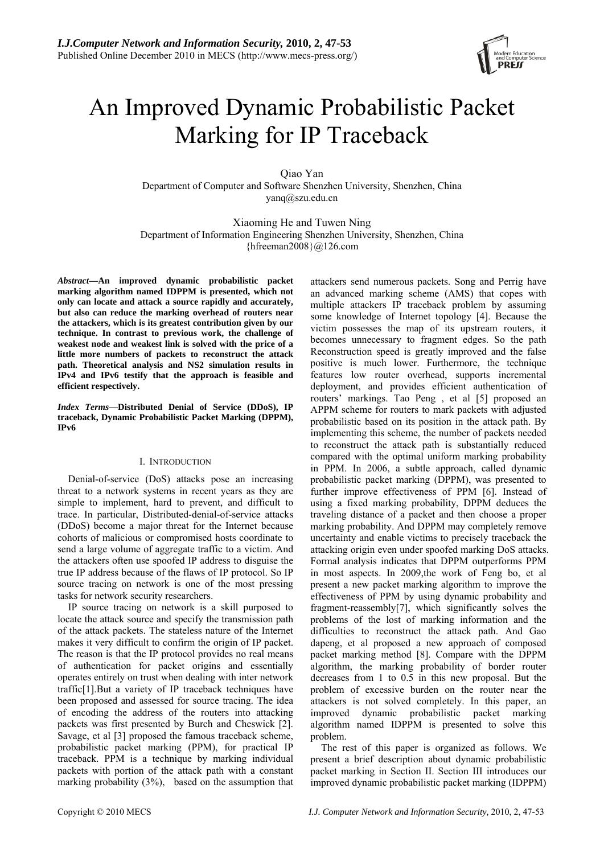

# An Improved Dynamic Probabilistic Packet Marking for IP Traceback

Qiao Yan Department of Computer and Software Shenzhen University, Shenzhen, China yanq@szu.edu.cn

Xiaoming He and Tuwen Ning Department of Information Engineering Shenzhen University, Shenzhen, China  ${hfreeman2008}@126.com$ 

*Abstract***—An improved dynamic probabilistic packet marking algorithm named IDPPM is presented, which not only can locate and attack a source rapidly and accurately, but also can reduce the marking overhead of routers near the attackers, which is its greatest contribution given by our technique. In contrast to previous work, the challenge of weakest node and weakest link is solved with the price of a little more numbers of packets to reconstruct the attack path. Theoretical analysis and NS2 simulation results in IPv4 and IPv6 testify that the approach is feasible and efficient respectively.** 

*Index Terms***—Distributed Denial of Service (DDoS), IP traceback, Dynamic Probabilistic Packet Marking (DPPM), IPv6** 

## I. INTRODUCTION

Denial-of-service (DoS) attacks pose an increasing threat to a network systems in recent years as they are simple to implement, hard to prevent, and difficult to trace. In particular, Distributed-denial-of-service attacks (DDoS) become a major threat for the Internet because cohorts of malicious or compromised hosts coordinate to send a large volume of aggregate traffic to a victim. And the attackers often use spoofed IP address to disguise the true IP address because of the flaws of IP protocol. So IP source tracing on network is one of the most pressing tasks for network security researchers.

IP source tracing on network is a skill purposed to locate the attack source and specify the transmission path of the attack packets. The stateless nature of the Internet makes it very difficult to confirm the origin of IP packet. The reason is that the IP protocol provides no real means of authentication for packet origins and essentially operates entirely on trust when dealing with inter network traffic[1].But a variety of IP traceback techniques have been proposed and assessed for source tracing. The idea of encoding the address of the routers into attacking packets was first presented by Burch and Cheswick [2]. Savage, et al [3] proposed the famous traceback scheme, probabilistic packet marking (PPM), for practical IP traceback. PPM is a technique by marking individual packets with portion of the attack path with a constant marking probability (3%), based on the assumption that attackers send numerous packets. Song and Perrig have an advanced marking scheme (AMS) that copes with multiple attackers IP traceback problem by assuming some knowledge of Internet topology [4]. Because the victim possesses the map of its upstream routers, it becomes unnecessary to fragment edges. So the path Reconstruction speed is greatly improved and the false positive is much lower. Furthermore, the technique features low router overhead, supports incremental deployment, and provides efficient authentication of routers' markings. Tao Peng , et al [5] proposed an APPM scheme for routers to mark packets with adjusted probabilistic based on its position in the attack path. By implementing this scheme, the number of packets needed to reconstruct the attack path is substantially reduced compared with the optimal uniform marking probability in PPM. In 2006, a subtle approach, called dynamic probabilistic packet marking (DPPM), was presented to further improve effectiveness of PPM [6]. Instead of using a fixed marking probability, DPPM deduces the traveling distance of a packet and then choose a proper marking probability. And DPPM may completely remove uncertainty and enable victims to precisely traceback the attacking origin even under spoofed marking DoS attacks. Formal analysis indicates that DPPM outperforms PPM in most aspects. In 2009,the work of Feng bo, et al present a new packet marking algorithm to improve the effectiveness of PPM by using dynamic probability and fragment-reassembly[7], which significantly solves the problems of the lost of marking information and the difficulties to reconstruct the attack path. And Gao dapeng, et al proposed a new approach of composed packet marking method [8]. Compare with the DPPM algorithm, the marking probability of border router decreases from 1 to 0.5 in this new proposal. But the problem of excessive burden on the router near the attackers is not solved completely. In this paper, an improved dynamic probabilistic packet marking algorithm named IDPPM is presented to solve this problem.

The rest of this paper is organized as follows. We present a brief description about dynamic probabilistic packet marking in Section II. Section III introduces our improved dynamic probabilistic packet marking (IDPPM)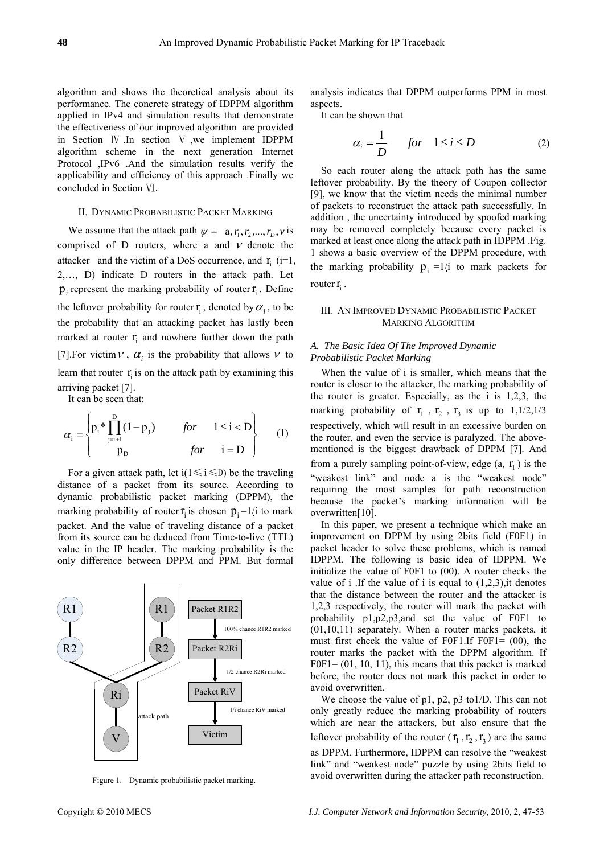algorithm and shows the theoretical analysis about its performance. The concrete strategy of IDPPM algorithm applied in IPv4 and simulation results that demonstrate the effectiveness of our improved algorithm are provided in Section Ⅳ .In section Ⅴ ,we implement IDPPM algorithm scheme in the next generation Internet Protocol ,IPv6 .And the simulation results verify the applicability and efficiency of this approach .Finally we concluded in Section Ⅵ.

#### II. DYNAMIC PROBABILISTIC PACKET MARKING

We assume that the attack path  $\psi = a, r_1, r_2, ..., r_D, v$  is comprised of D routers, where a and  $V$  denote the attacker and the victim of a DoS occurrence, and  $\mathbf{r}_i$  (i=1, 2,…, D) indicate D routers in the attack path. Let  $p_i$  represent the marking probability of router  $r_i$ . Define the leftover probability for router  $\mathbf{r}_i$ , denoted by  $\alpha_i$ , to be the probability that an attacking packet has lastly been marked at router  $\mathbf{r}_i$  and nowhere further down the path [7]. For victim  $V$ ,  $\alpha$ <sub>i</sub> is the probability that allows  $V$  to learn that router  $r_i$  is on the attack path by examining this arriving packet [7].

It can be seen that:

$$
\alpha_{i} = \begin{cases} p_{i} \ast \prod_{j=i+1}^{D} (1-p_{j}) & \text{for} \quad 1 \leq i < D \\ p_{D} & \text{for} \quad i = D \end{cases}
$$
 (1)

For a given attack path, let  $i(1 \le i \le D)$  be the traveling distance of a packet from its source. According to dynamic probabilistic packet marking (DPPM), the marking probability of router  $\mathbf{r}_i$  is chosen  $\mathbf{p}_i = 1/i$  to mark packet. And the value of traveling distance of a packet from its source can be deduced from Time-to-live (TTL) value in the IP header. The marking probability is the only difference between DPPM and PPM. But formal



Figure 1. Dynamic probabilistic packet marking.

analysis indicates that DPPM outperforms PPM in most aspects.

It can be shown that

$$
\alpha_i = \frac{1}{D} \quad \text{for} \quad 1 \le i \le D \tag{2}
$$

So each router along the attack path has the same le ftover probability. By the theory of Coupon collector [9], we know that the victim needs the minimal number of packets to reconstruct the attack path successfully. In addition , the uncertainty introduced by spoofed marking may be removed completely because every packet is marked at least once along the attack path in IDPPM .Fig. 1 shows a basic overview of the DPPM procedure, with the marking probability  $p_i =1/i$  to mark packets for router  $\mathbf{r}_i$ .

## III. AN IMPROVED DYNAMIC PROBABILISTIC PACKET MARKING ALGORITHM

## *A. The Basic Idea Of The Improved Dynamic Probabilistic Packet Marking*

When the value of i is smaller, which means that the ro uter is closer to the attacker, the marking probability of the router is greater. Especially, as the i is 1,2,3, the marking probability of  $r_1$ ,  $r_2$ ,  $r_3$  is up to 1,1/2,1/3 respectively, which will result in an excessive burden on the router, and even the service is paralyzed. The abovementioned is the biggest drawback of DPPM [7]. And from a purely sampling point-of-view, edge  $(a, r_1)$  is the "weakest link" and node a is the "weakest node" requiring the most samples for path reconstruction because the packet's marking information will be overwritten[10].

In this paper, we present a technique which make an im provement on DPPM by using 2bits field (F0F1) in packet header to solve these problems, which is named IDPPM. The following is basic idea of IDPPM. We initialize the value of F0F1 to (00). A router checks the value of i .If the value of i is equal to  $(1,2,3)$ , it denotes that the distance between the router and the attacker is 1,2,3 respectively, the router will mark the packet with probability p1,p2,p3,and set the value of F0F1 to (01,10,11) separately. When a router marks packets, it must first check the value of F0F1.If F0F1=  $(00)$ , the router marks the packet with the DPPM algorithm. If  $FOF1 = (01, 10, 11)$ , this means that this packet is marked before, the router does not mark this packet in order to avoid overwritten.

We choose the value of  $p1$ ,  $p2$ ,  $p3$  to1/D. This can not on ly greatly reduce the marking probability of routers as DPPM. Furthermore, IDPPM can resolve the "weakest which are near the attackers, but also ensure that the leftover probability of the router  $(\mathbf{r}_1, \mathbf{r}_2, \mathbf{r}_3)$  are the same link" and "weakest node" puzzle by using 2bits field to avoid overwritten during the attacker path reconstruction.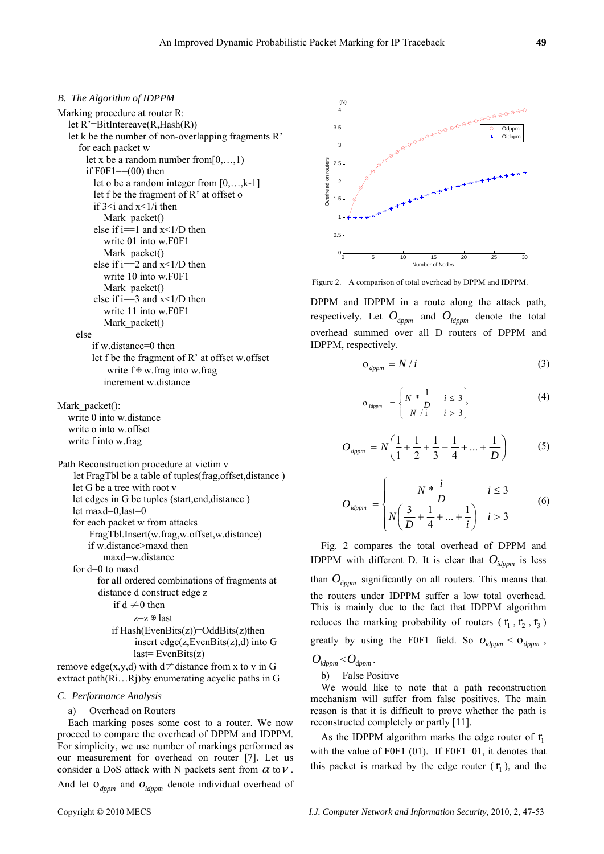## *B. The Algorithm of IDPPM*

Marking procedure at router R: let R'=BitIntereave(R,Hash(R)) let k be the number of non-overlapping fragments R' for each packet w let x be a random number from $[0, \ldots, 1)$ if  $FOF1 = (00)$  then let o be a random integer from [0,…,k-1] let f be the fragment of R' at offset o if  $3 \le i$  and  $x \le 1/i$  then Mark packet() else if  $i == 1$  and  $x < 1/D$  then write 01 into w.F0F1 Mark packet() else if  $i=2$  and  $x<1/D$  then write 10 into w.F0F1 Figure 2. A comparison of total overhead by DPPM and IDPPM.<br>Mark\_packet() else if i==3 and x<1/D then write 11 into w.F0F1 Mark packet() else if w.distance=0 then let f be the fragment of R' at offset w.offset write f⊕w.frag into w.frag increment w.distance

Mark\_packet(): write 0 into w.distance write o into w.offset write f into w.frag

```
Path Reconstruction procedure at victim v 
 let FragTbl be a table of tuples(frag,offset,distance ) 
let G be a tree with root v 
let edges in G be tuples (start,end,distance ) 
let maxd=0,last=0 
for each packet w from attacks 
    FragTbl.Insert(w.frag,w.offset,w.distance) 
    if w.distance>maxd then 
       maxd=w.distance 
for d=0 to maxd 
       for all ordered combinations of fragments at 
      distance d construct edge z 
          if d \neq 0 then
```

$$
z=z \oplus last
$$
if Hash(EvenBits(z))=OddBits(z)then  
insert edge(z, EvenBits(z),d) into G  
last= EvenBits(z)

remove edge(x,y,d) with d≠distance from x to v in G extract path(Ri…Rj)by enumerating acyclic paths in G

# *C. Performance Analysis*

a) Overhead on Routers

Each marking poses some cost to a router. We now proceed to compare the overhead of DPPM and IDPPM. For simplicity, we use number of markings performed as our measurement for overhead on router [7]. Let us consider a DoS attack with N packets sent from  $\alpha$  to  $\nu$ .

And let  $O_{dppm}$  and  $O_{idppm}$  denote individual overhead of



DPPM and IDPPM in a route along the attack path, respectively. Let  $O_{\text{dppm}}$  and  $O_{\text{dppm}}$  denote the total overhead summed over all D routers of DPPM and IDPPM, respectively.

$$
o_{\text{dppm}} = N/i \tag{3}
$$

$$
o_{\text{idppm}} = \begin{cases} N * \frac{1}{D} & i \leq 3 \\ N / i & i > 3 \end{cases} \tag{4}
$$

$$
O_{\text{dppm}} = N \left( \frac{1}{1} + \frac{1}{2} + \frac{1}{3} + \frac{1}{4} + \dots + \frac{1}{D} \right) \tag{5}
$$

$$
O_{\text{idppm}} = \begin{cases} N * \frac{i}{D} & i \le 3\\ N \left( \frac{3}{D} + \frac{1}{4} + \dots + \frac{1}{i} \right) & i > 3 \end{cases}
$$
 (6)

Fig. 2 compares the total overhead of DPPM and IDPPM with different D. It is clear that  $O_{\text{idppm}}$  is less than  $O_{\text{dppm}}$  significantly on all routers. This means that the routers under IDPPM suffer a low total overhead. This is mainly due to the fact that IDPPM algorithm reduces the marking probability of routers  $(\mathbf{r}_1, \mathbf{r}_2, \mathbf{r}_3)$ greatly by using the F0F1 field. So  $O_{idppm} < O_{dppm}$ ,

$$
O_{\mathit{idppm}} < O_{\mathit{dppm}}.
$$

b) False Positive

We would like to note that a path reconstruction mechanism will suffer from false positives. The main reason is that it is difficult to prove whether the path is reconstructed completely or partly [11].

As the IDPPM algorithm marks the edge router of  $r_1$ with the value of F0F1 (01). If F0F1=01, it denotes that this packet is marked by the edge router  $(\mathbf{r}_1)$ , and the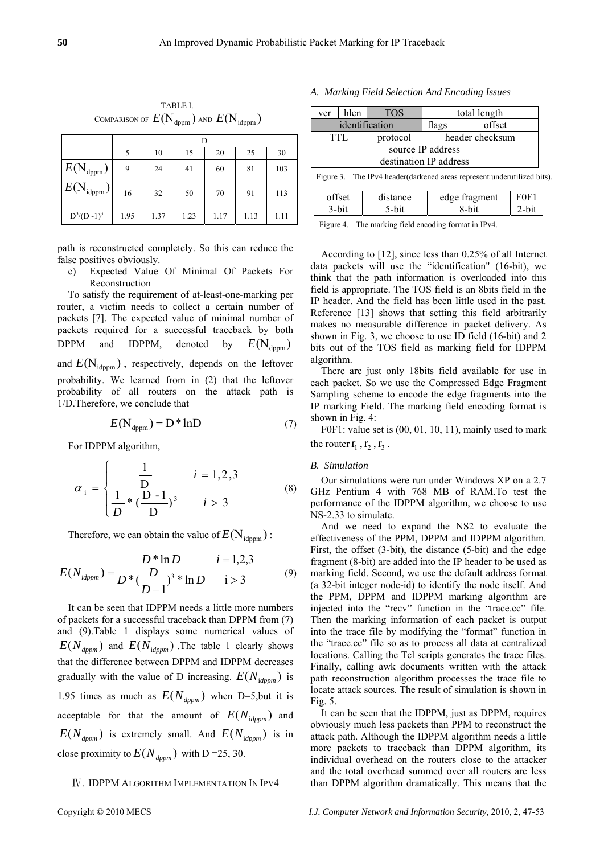|                                                   |      | 10   | 15   | 20   | 25   | 30   |
|---------------------------------------------------|------|------|------|------|------|------|
| $\mathcal{E}(\textnormal{N}_{\textnormal{dppm}})$ | 9    | 24   | 41   | 60   | 81   | 103  |
| $\mathcal{E}(\textbf{N}_{\text{idppm}})$          | 16   | 32   | 50   | 70   | 91   | 113  |
| $D^3/(D-1)^3$                                     | 1.95 | 1.37 | 1.23 | 1.17 | 1.13 | 1.11 |

TABLE I. COMPARISON OF  $E(N_{\text{dppm}})$  and  $E(N_{\text{idppm}})$ 

path is reconstructed completely. So this can reduce the false positives obviously.

c) Expected Value Of Minimal Of Packets For Reconstruction

To satisfy the requirement of at-least-one-marking per router, a victim needs to collect a certain number of packets [7]. The expected value of minimal number of packets required for a successful traceback by both DPPM and IDPPM, denoted by  $E(N_{\text{dppm}})$ and  $E(N_{\text{idppm}})$ , respectively, depends on the leftover probability. We learned from in (2) that the leftover probability of all routers on the attack path is 1/D.Therefore, we conclude that

$$
E(N_{\text{dppm}}) = D^* \ln D \tag{7}
$$

For IDPPM algorithm,

$$
\alpha_{i} = \begin{cases} \frac{1}{D} & i = 1, 2, 3 \\ \frac{1}{D} * (\frac{D - 1}{D})^{3} & i > 3 \end{cases}
$$
 (8)

Therefore, we can obtain the value of  $E(N_{\text{idnum}})$ :

$$
E(N_{idppm}) = \frac{D * \ln D}{D * (\frac{D}{D-1})^3 * \ln D} \qquad i = 1,2,3
$$
 (9)

It can be seen that IDPPM needs a little more numbers of packets for a successful traceback than DPPM from (7) and (9).Table 1 displays some numerical values of  $E(N_{dppm})$  and  $E(N_{idppm})$ . The table 1 clearly shows that the difference between DPPM and IDPPM decreases gradually with the value of D increasing.  $E(N_{idppm})$  is 1.95 times as much as  $E(N_{dppm})$  when D=5,but it is acceptable for that the amount of  $E(N_{\text{idppm}})$  and  $E(N_{dppm})$  is extremely small. And  $E(N_{idppm})$  is in close proximity to  $E(N_{\text{dppm}})$  with D = 25, 30.

# Ⅳ. IDPPM ALGORITHM IMPLEMENTATION IN IPV4

# *A. Marking Field Selection And Encoding Issues*

| ver                                                                      | hlen           | <b>TOS</b> | total length    |        |  |
|--------------------------------------------------------------------------|----------------|------------|-----------------|--------|--|
|                                                                          | identification |            | flags           | offset |  |
| TTL                                                                      |                | protocol   | header checksum |        |  |
| source IP address                                                        |                |            |                 |        |  |
| destination IP address                                                   |                |            |                 |        |  |
| Figure 3. The IPv4 header (darkened areas represent under utilized bits) |                |            |                 |        |  |

| offset | distance | edge<br>≁e fragment | ìЕ.  |
|--------|----------|---------------------|------|
|        |          | 8-bit               | -bit |
|        |          |                     |      |

Figure 4. The marking field encoding format in IPv4.

According to [12], since less than 0.25% of all Internet data packets will use the "identification" (16-bit), we think that the path information is overloaded into this field is appropriate. The TOS field is an 8bits field in the IP header. And the field has been little used in the past. Reference [13] shows that setting this field arbitrarily makes no measurable difference in packet delivery. As shown in Fig. 3, we choose to use ID field (16-bit) and 2 bits out of the TOS field as marking field for IDPPM algorithm.

There are just only 18bits field available for use in each packet. So we use the Compressed Edge Fragment Sampling scheme to encode the edge fragments into the IP marking Field. The marking field encoding format is shown in Fig. 4:

F0F1: value set is  $(00, 01, 10, 11)$ , mainly used to mark the router  $r_1$ ,  $r_2$ ,  $r_3$ .

### *B. Simulation*

Our simulations were run under Windows XP on a 2.7 GHz Pentium 4 with 768 MB of RAM.To test the performance of the IDPPM algorithm, we choose to use NS-2.33 to simulate.

And we need to expand the NS2 to evaluate the effectiveness of the PPM, DPPM and IDPPM algorithm. First, the offset (3-bit), the distance (5-bit) and the edge fragment (8-bit) are added into the IP header to be used as marking field. Second, we use the default address format (a 32-bit integer node-id) to identify the node itself. And the PPM, DPPM and IDPPM marking algorithm are injected into the "recv" function in the "trace.cc" file. Then the marking information of each packet is output into the trace file by modifying the "format" function in the "trace.cc" file so as to process all data at centralized locations. Calling the Tcl scripts generates the trace files. Finally, calling awk documents written with the attack path reconstruction algorithm processes the trace file to locate attack sources. The result of simulation is shown in Fig. 5.

It can be seen that the IDPPM, just as DPPM, requires obviously much less packets than PPM to reconstruct the attack path. Although the IDPPM algorithm needs a little more packets to traceback than DPPM algorithm, its individual overhead on the routers close to the attacker and the total overhead summed over all routers are less than DPPM algorithm dramatically. This means that the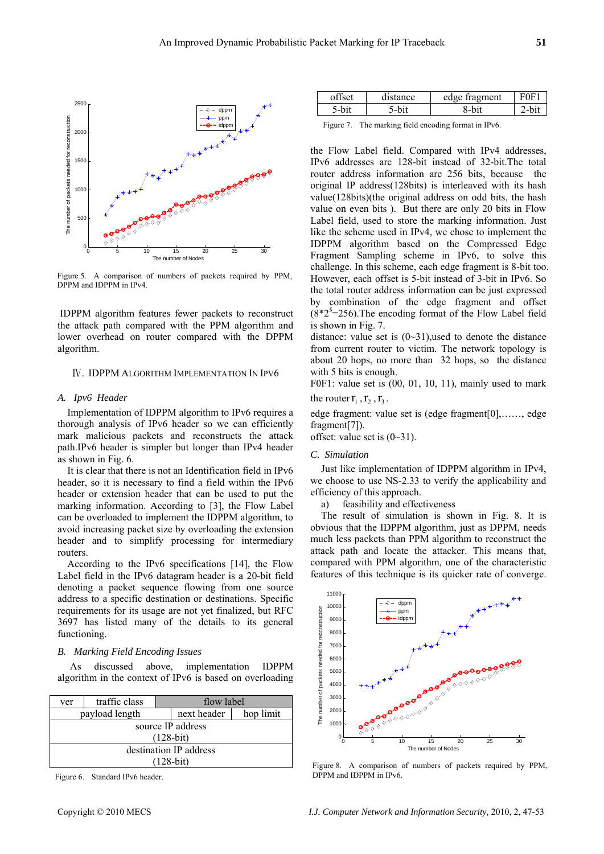

Figure 5. A comparison of numbers of packets required by PPM, DPPM and IDPPM in IPv4.

 IDPPM algorithm features fewer packets to reconstruct the attack path compared with the PPM algorithm and lower overhead on router compared with the DPPM algorithm.

#### Ⅳ. IDPPM ALGORITHM IMPLEMENTATION IN IPV6

#### *A. Ipv6 Header*

Implementation of IDPPM algorithm to IPv6 requires a thorough analysis of IPv6 header so we can efficiently mark malicious packets and reconstructs the attack path.IPv6 header is simpler but longer than IPv4 header as shown in Fig. 6.

It is clear that there is not an Identification field in IPv6 header, so it is necessary to find a field within the IPv6 header or extension header that can be used to put the marking information. According to [3], the Flow Label can be overloaded to implement the IDPPM algorithm, to avoid increasing packet size by overloading the extension header and to simplify processing for intermediary routers.

According to the IPv6 specifications [14], the Flow Label field in the IPv6 datagram header is a 20-bit field denoting a packet sequence flowing from one source address to a specific destination or destinations. Specific requirements for its usage are not yet finalized, but RFC 3697 has listed many of the details to its general functioning.

## *B. Marking Field Encoding Issues*

 As discussed above, implementation IDPPM algorithm in the context of IPv6 is based on overloading

|                        | traffic class<br>ver |                |  | flow label               |  |  |  |
|------------------------|----------------------|----------------|--|--------------------------|--|--|--|
|                        |                      | payload length |  | next header<br>hop limit |  |  |  |
|                        | source IP address    |                |  |                          |  |  |  |
|                        | $(128-bit)$          |                |  |                          |  |  |  |
| destination IP address |                      |                |  |                          |  |  |  |
| $(128-bit)$            |                      |                |  |                          |  |  |  |
|                        |                      |                |  |                          |  |  |  |

Figure 6. Standard IPv6 header.

Figure 7. The marking field encoding format in IPv6.

the Flow Label field. Compared with IPv4 addresses, IPv6 addresses are 128-bit instead of 32-bit.The total router address information are 256 bits, because the original IP address(128bits) is interleaved with its hash value(128bits)(the original address on odd bits, the hash value on even bits ). But there are only 20 bits in Flow Label field, used to store the marking information. Just like the scheme used in IPv4, we chose to implement the IDPPM algorithm based on the Compressed Edge Fragment Sampling scheme in IPv6, to solve this challenge. In this scheme, each edge fragment is 8-bit too. However, each offset is 5-bit instead of 3-bit in IPv6. So the total router address information can be just expressed by combination of the edge fragment and offset  $(8*2<sup>5</sup>=256)$ . The encoding format of the Flow Label field is shown in Fig. 7.

distance: value set is  $(0-31)$ , used to denote the distance from current router to victim. The network topology is about 20 hops, no more than 32 hops, so the distance with 5 bits is enough.

F0F1: value set is  $(00, 01, 10, 11)$ , mainly used to mark the router  $r_1$ ,  $r_2$ ,  $r_3$ .

edge fragment: value set is (edge fragment[0],……, edge fragment[7]).

offset: value set is  $(0-31)$ .

#### *C. Simulation*

Just like implementation of IDPPM algorithm in IPv4, we choose to use NS-2.33 to verify the applicability and efficiency of this approach.

a) feasibility and effectiveness

The result of simulation is shown in Fig. 8. It is obvious that the IDPPM algorithm, just as DPPM, needs much less packets than PPM algorithm to reconstruct the attack path and locate the attacker. This means that, compared with PPM algorithm, one of the characteristic features of this technique is its quicker rate of converge.



Figure 8. A comparison of numbers of packets required by PPM, DPPM and IDPPM in IPv6.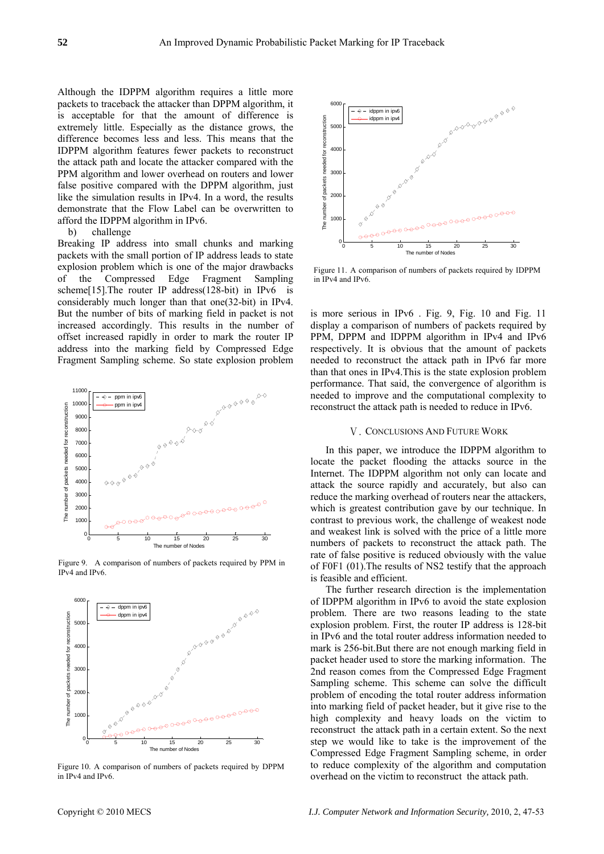Although the IDPPM algorithm requires a little more packets to traceback the attacker than DPPM algorithm, it is acceptable for that the amount of difference is extremely little. Especially as the distance grows, the difference becomes less and less. This means that the IDPPM algorithm features fewer packets to reconstruct the attack path and locate the attacker compared with the PPM algorithm and lower overhead on routers and lower false positive compared with the DPPM algorithm, just like the simulation results in IPv4. In a word, the results demonstrate that the Flow Label can be overwritten to afford the IDPPM algorithm in IPv6.

#### b) challenge

Breaking IP address into small chunks and marking packets with the small portion of IP address leads to state explosion problem which is one of the major drawbacks of the Compressed Edge Fragment Sampling scheme<sup>[15]</sup>.The router IP address(128-bit) in IPv6 is considerably much longer than that one(32-bit) in IPv4. But the number of bits of marking field in packet is not increased accordingly. This results in the number of offset increased rapidly in order to mark the router IP address into the marking field by Compressed Edge Fragment Sampling scheme. So state explosion problem



Figure 9. A comparison of numbers of packets required by PPM in IPv4 and IPv6.



Figure 10. A comparison of numbers of packets required by DPPM in IPv4 and IPv6.



Figure 11. A comparison of numbers of packets required by IDPPM in IPv4 and IPv6.

is more serious in IPv6 . Fig. 9, Fig. 10 and Fig. 11 display a comparison of numbers of packets required by PPM, DPPM and IDPPM algorithm in IPv4 and IPv6 respectively. It is obvious that the amount of packets needed to reconstruct the attack path in IPv6 far more than that ones in IPv4.This is the state explosion problem performance. That said, the convergence of algorithm is needed to improve and the computational complexity to reconstruct the attack path is needed to reduce in IPv6.

### Ⅴ. CONCLUSIONS AND FUTURE WORK

In this paper, we introduce the IDPPM algorithm to locate the packet flooding the attacks source in the Internet. The IDPPM algorithm not only can locate and attack the source rapidly and accurately, but also can reduce the marking overhead of routers near the attackers, which is greatest contribution gave by our technique. In contrast to previous work, the challenge of weakest node and weakest link is solved with the price of a little more numbers of packets to reconstruct the attack path. The rate of false positive is reduced obviously with the value of F0F1 (01).The results of NS2 testify that the approach is feasible and efficient.

The further research direction is the implementation of IDPPM algorithm in IPv6 to avoid the state explosion problem. There are two reasons leading to the state explosion problem. First, the router IP address is 128-bit in IPv6 and the total router address information needed to mark is 256-bit.But there are not enough marking field in packet header used to store the marking information. The 2nd reason comes from the Compressed Edge Fragment Sampling scheme. This scheme can solve the difficult problem of encoding the total router address information into marking field of packet header, but it give rise to the high complexity and heavy loads on the victim to reconstruct the attack path in a certain extent. So the next step we would like to take is the improvement of the Compressed Edge Fragment Sampling scheme, in order to reduce complexity of the algorithm and computation overhead on the victim to reconstruct the attack path.